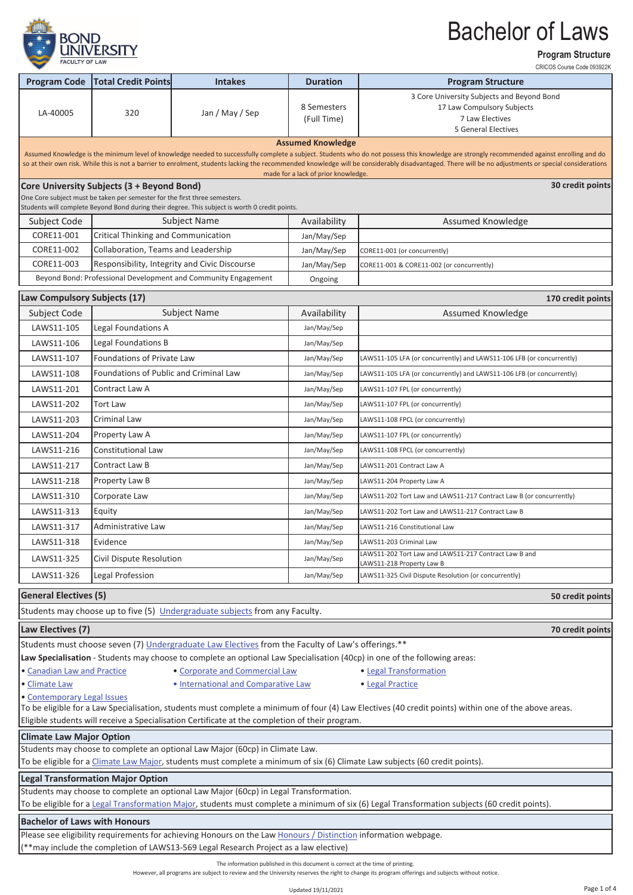

**Program Structure**

|                                                                                                                                                                                                                                         |                                                                            |                                                                                                                 |                                     | CRICOS Course Code 093922K                                                                                                                                                                                                                                                                                                                                                                           |  |  |
|-----------------------------------------------------------------------------------------------------------------------------------------------------------------------------------------------------------------------------------------|----------------------------------------------------------------------------|-----------------------------------------------------------------------------------------------------------------|-------------------------------------|------------------------------------------------------------------------------------------------------------------------------------------------------------------------------------------------------------------------------------------------------------------------------------------------------------------------------------------------------------------------------------------------------|--|--|
| <b>Program Code</b>                                                                                                                                                                                                                     | <b>Total Credit Points</b>                                                 | <b>Intakes</b>                                                                                                  | <b>Duration</b>                     | <b>Program Structure</b>                                                                                                                                                                                                                                                                                                                                                                             |  |  |
|                                                                                                                                                                                                                                         |                                                                            |                                                                                                                 | 8 Semesters                         | 3 Core University Subjects and Beyond Bond<br>17 Law Compulsory Subjects                                                                                                                                                                                                                                                                                                                             |  |  |
| LA-40005                                                                                                                                                                                                                                | 320                                                                        | Jan / May / Sep                                                                                                 | (Full Time)                         | 7 Law Electives                                                                                                                                                                                                                                                                                                                                                                                      |  |  |
|                                                                                                                                                                                                                                         |                                                                            |                                                                                                                 |                                     | <b>5 General Electives</b>                                                                                                                                                                                                                                                                                                                                                                           |  |  |
|                                                                                                                                                                                                                                         |                                                                            |                                                                                                                 | <b>Assumed Knowledge</b>            |                                                                                                                                                                                                                                                                                                                                                                                                      |  |  |
|                                                                                                                                                                                                                                         |                                                                            |                                                                                                                 |                                     | Assumed Knowledge is the minimum level of knowledge needed to successfully complete a subject. Students who do not possess this knowledge are strongly recommended against enrolling and do<br>so at their own risk. While this is not a barrier to enrolment, students lacking the recommended knowledge will be considerably disadvantaged. There will be no adjustments or special considerations |  |  |
|                                                                                                                                                                                                                                         |                                                                            |                                                                                                                 | made for a lack of prior knowledge. |                                                                                                                                                                                                                                                                                                                                                                                                      |  |  |
|                                                                                                                                                                                                                                         | Core University Subjects (3 + Beyond Bond)                                 |                                                                                                                 |                                     | 30 credit points                                                                                                                                                                                                                                                                                                                                                                                     |  |  |
|                                                                                                                                                                                                                                         | One Core subject must be taken per semester for the first three semesters. | Students will complete Beyond Bond during their degree. This subject is worth 0 credit points.                  |                                     |                                                                                                                                                                                                                                                                                                                                                                                                      |  |  |
| Subject Code                                                                                                                                                                                                                            |                                                                            | <b>Subject Name</b>                                                                                             | Availability                        | Assumed Knowledge                                                                                                                                                                                                                                                                                                                                                                                    |  |  |
| CORE11-001                                                                                                                                                                                                                              | Critical Thinking and Communication                                        |                                                                                                                 | Jan/May/Sep                         |                                                                                                                                                                                                                                                                                                                                                                                                      |  |  |
| CORE11-002                                                                                                                                                                                                                              | Collaboration, Teams and Leadership                                        |                                                                                                                 | Jan/May/Sep                         | CORE11-001 (or concurrently)                                                                                                                                                                                                                                                                                                                                                                         |  |  |
| CORE11-003                                                                                                                                                                                                                              |                                                                            | Responsibility, Integrity and Civic Discourse                                                                   | Jan/May/Sep                         | CORE11-001 & CORE11-002 (or concurrently)                                                                                                                                                                                                                                                                                                                                                            |  |  |
|                                                                                                                                                                                                                                         |                                                                            | Beyond Bond: Professional Development and Community Engagement                                                  | Ongoing                             |                                                                                                                                                                                                                                                                                                                                                                                                      |  |  |
|                                                                                                                                                                                                                                         |                                                                            |                                                                                                                 |                                     |                                                                                                                                                                                                                                                                                                                                                                                                      |  |  |
| Law Compulsory Subjects (17)                                                                                                                                                                                                            |                                                                            |                                                                                                                 |                                     | 170 credit points                                                                                                                                                                                                                                                                                                                                                                                    |  |  |
| Subject Code                                                                                                                                                                                                                            |                                                                            | <b>Subject Name</b>                                                                                             | Availability                        | Assumed Knowledge                                                                                                                                                                                                                                                                                                                                                                                    |  |  |
| LAWS11-105                                                                                                                                                                                                                              | Legal Foundations A                                                        |                                                                                                                 | Jan/May/Sep                         |                                                                                                                                                                                                                                                                                                                                                                                                      |  |  |
| LAWS11-106                                                                                                                                                                                                                              | Legal Foundations B                                                        |                                                                                                                 | Jan/May/Sep                         |                                                                                                                                                                                                                                                                                                                                                                                                      |  |  |
| LAWS11-107                                                                                                                                                                                                                              | <b>Foundations of Private Law</b>                                          |                                                                                                                 | Jan/May/Sep                         | LAWS11-105 LFA (or concurrently) and LAWS11-106 LFB (or concurrently)                                                                                                                                                                                                                                                                                                                                |  |  |
| LAWS11-108                                                                                                                                                                                                                              | Foundations of Public and Criminal Law                                     |                                                                                                                 | Jan/May/Sep                         | LAWS11-105 LFA (or concurrently) and LAWS11-106 LFB (or concurrently)                                                                                                                                                                                                                                                                                                                                |  |  |
| LAWS11-201                                                                                                                                                                                                                              | Contract Law A                                                             |                                                                                                                 | Jan/May/Sep                         | LAWS11-107 FPL (or concurrently)                                                                                                                                                                                                                                                                                                                                                                     |  |  |
| LAWS11-202                                                                                                                                                                                                                              | <b>Tort Law</b>                                                            |                                                                                                                 | Jan/May/Sep                         | LAWS11-107 FPL (or concurrently)                                                                                                                                                                                                                                                                                                                                                                     |  |  |
| LAWS11-203                                                                                                                                                                                                                              | Criminal Law                                                               |                                                                                                                 | Jan/May/Sep                         | LAWS11-108 FPCL (or concurrently)                                                                                                                                                                                                                                                                                                                                                                    |  |  |
| LAWS11-204                                                                                                                                                                                                                              | Property Law A                                                             |                                                                                                                 | Jan/May/Sep                         | LAWS11-107 FPL (or concurrently)                                                                                                                                                                                                                                                                                                                                                                     |  |  |
| LAWS11-216                                                                                                                                                                                                                              | Constitutional Law                                                         |                                                                                                                 | Jan/May/Sep                         | LAWS11-108 FPCL (or concurrently)                                                                                                                                                                                                                                                                                                                                                                    |  |  |
| LAWS11-217                                                                                                                                                                                                                              | Contract Law B                                                             |                                                                                                                 | Jan/May/Sep                         | LAWS11-201 Contract Law A                                                                                                                                                                                                                                                                                                                                                                            |  |  |
| LAWS11-218                                                                                                                                                                                                                              | Property Law B                                                             |                                                                                                                 | Jan/May/Sep                         | LAWS11-204 Property Law A                                                                                                                                                                                                                                                                                                                                                                            |  |  |
| LAWS11-310                                                                                                                                                                                                                              | Corporate Law                                                              |                                                                                                                 | Jan/May/Sep                         | LAWS11-202 Tort Law and LAWS11-217 Contract Law B (or concurrently)                                                                                                                                                                                                                                                                                                                                  |  |  |
| LAWS11-313                                                                                                                                                                                                                              | Equity                                                                     |                                                                                                                 | Jan/May/Sep                         | LAWS11-202 Tort Law and LAWS11-217 Contract Law B                                                                                                                                                                                                                                                                                                                                                    |  |  |
| LAWS11-317                                                                                                                                                                                                                              | <b>Administrative Law</b>                                                  |                                                                                                                 | Jan/May/Sep                         | LAWS11-216 Constitutional Law                                                                                                                                                                                                                                                                                                                                                                        |  |  |
| LAWS11-318                                                                                                                                                                                                                              | Evidence                                                                   |                                                                                                                 | Jan/May/Sep                         | LAWS11-203 Criminal Law                                                                                                                                                                                                                                                                                                                                                                              |  |  |
| LAWS11-325                                                                                                                                                                                                                              | Civil Dispute Resolution                                                   |                                                                                                                 | Jan/May/Sep                         | LAWS11-202 Tort Law and LAWS11-217 Contract Law B and                                                                                                                                                                                                                                                                                                                                                |  |  |
| LAWS11-326                                                                                                                                                                                                                              | Legal Profession                                                           |                                                                                                                 | Jan/May/Sep                         | LAWS11-218 Property Law B<br>LAWS11-325 Civil Dispute Resolution (or concurrently)                                                                                                                                                                                                                                                                                                                   |  |  |
|                                                                                                                                                                                                                                         |                                                                            |                                                                                                                 |                                     |                                                                                                                                                                                                                                                                                                                                                                                                      |  |  |
| <b>General Electives (5)</b><br>50 credit points                                                                                                                                                                                        |                                                                            |                                                                                                                 |                                     |                                                                                                                                                                                                                                                                                                                                                                                                      |  |  |
|                                                                                                                                                                                                                                         |                                                                            | Students may choose up to five (5) Undergraduate subjects from any Faculty.                                     |                                     |                                                                                                                                                                                                                                                                                                                                                                                                      |  |  |
| Law Electives (7)                                                                                                                                                                                                                       |                                                                            |                                                                                                                 |                                     | 70 credit points                                                                                                                                                                                                                                                                                                                                                                                     |  |  |
| Students must choose seven (7) Undergraduate Law Electives from the Faculty of Law's offerings.**                                                                                                                                       |                                                                            |                                                                                                                 |                                     |                                                                                                                                                                                                                                                                                                                                                                                                      |  |  |
| Law Specialisation - Students may choose to complete an optional Law Specialisation (40cp) in one of the following areas:                                                                                                               |                                                                            |                                                                                                                 |                                     |                                                                                                                                                                                                                                                                                                                                                                                                      |  |  |
| • Canadian Law and Practice<br>· Corporate and Commercial Law<br>• Legal Transformation                                                                                                                                                 |                                                                            |                                                                                                                 |                                     |                                                                                                                                                                                                                                                                                                                                                                                                      |  |  |
|                                                                                                                                                                                                                                         | . International and Comparative Law<br>· Climate Law<br>• Legal Practice   |                                                                                                                 |                                     |                                                                                                                                                                                                                                                                                                                                                                                                      |  |  |
| · Contemporary Legal Issues<br>To be eligible for a Law Specialisation, students must complete a minimum of four (4) Law Electives (40 credit points) within one of the above areas.                                                    |                                                                            |                                                                                                                 |                                     |                                                                                                                                                                                                                                                                                                                                                                                                      |  |  |
| Eligible students will receive a Specialisation Certificate at the completion of their program.                                                                                                                                         |                                                                            |                                                                                                                 |                                     |                                                                                                                                                                                                                                                                                                                                                                                                      |  |  |
| <b>Climate Law Major Option</b>                                                                                                                                                                                                         |                                                                            |                                                                                                                 |                                     |                                                                                                                                                                                                                                                                                                                                                                                                      |  |  |
| Students may choose to complete an optional Law Major (60cp) in Climate Law.                                                                                                                                                            |                                                                            |                                                                                                                 |                                     |                                                                                                                                                                                                                                                                                                                                                                                                      |  |  |
| To be eligible for a Climate Law Major, students must complete a minimum of six (6) Climate Law subjects (60 credit points).                                                                                                            |                                                                            |                                                                                                                 |                                     |                                                                                                                                                                                                                                                                                                                                                                                                      |  |  |
|                                                                                                                                                                                                                                         | <b>Legal Transformation Major Option</b>                                   |                                                                                                                 |                                     |                                                                                                                                                                                                                                                                                                                                                                                                      |  |  |
| Students may choose to complete an optional Law Major (60cp) in Legal Transformation.<br>To be eligible for a Legal Transformation Major, students must complete a minimum of six (6) Legal Transformation subjects (60 credit points). |                                                                            |                                                                                                                 |                                     |                                                                                                                                                                                                                                                                                                                                                                                                      |  |  |
| <b>Bachelor of Laws with Honours</b>                                                                                                                                                                                                    |                                                                            |                                                                                                                 |                                     |                                                                                                                                                                                                                                                                                                                                                                                                      |  |  |
|                                                                                                                                                                                                                                         |                                                                            | Please see eligibility requirements for achieving Honours on the Law Honours / Distinction information webpage. |                                     |                                                                                                                                                                                                                                                                                                                                                                                                      |  |  |
| (**may include the completion of LAWS13-569 Legal Research Project as a law elective)                                                                                                                                                   |                                                                            |                                                                                                                 |                                     |                                                                                                                                                                                                                                                                                                                                                                                                      |  |  |
| The information published in this document is correct at the time of printing.                                                                                                                                                          |                                                                            |                                                                                                                 |                                     |                                                                                                                                                                                                                                                                                                                                                                                                      |  |  |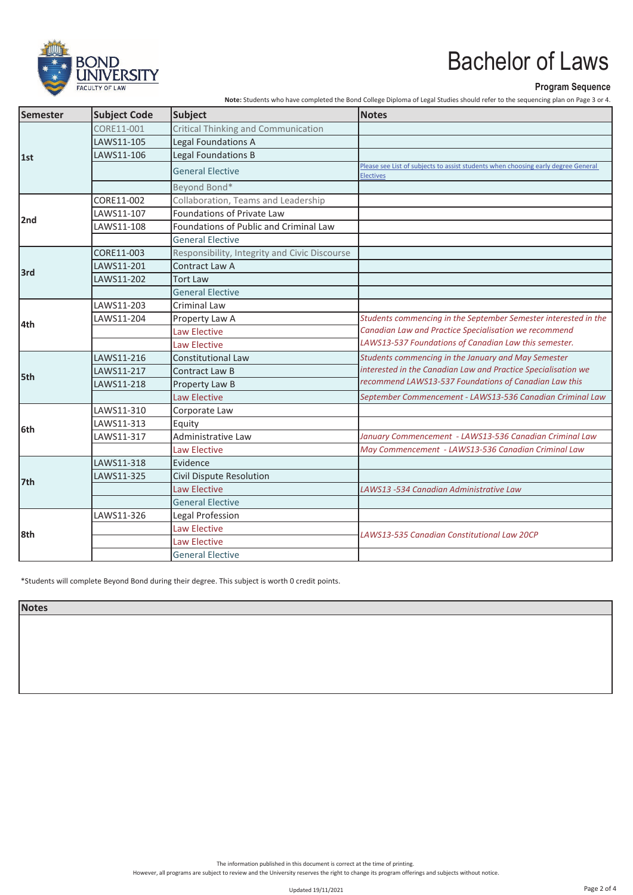

#### **Program Sequence**

**Note:** Students who have completed the Bond College Diploma of Legal Studies should refer to the sequencing plan on Page 3 or 4.

| Semester | <b>Subject Code</b> | Subject                                       | <b>Notes</b>                                                                                   |
|----------|---------------------|-----------------------------------------------|------------------------------------------------------------------------------------------------|
| 1st      | CORE11-001          | <b>Critical Thinking and Communication</b>    |                                                                                                |
|          | LAWS11-105          | Legal Foundations A                           |                                                                                                |
|          | LAWS11-106          | Legal Foundations B                           |                                                                                                |
|          |                     | <b>General Elective</b>                       | Please see List of subjects to assist students when choosing early degree General<br>Electives |
|          |                     | Beyond Bond*                                  |                                                                                                |
|          | CORE11-002          | Collaboration, Teams and Leadership           |                                                                                                |
| 2nd      | LAWS11-107          | Foundations of Private Law                    |                                                                                                |
|          | LAWS11-108          | Foundations of Public and Criminal Law        |                                                                                                |
|          |                     | <b>General Elective</b>                       |                                                                                                |
|          | CORE11-003          | Responsibility, Integrity and Civic Discourse |                                                                                                |
| 3rd      | LAWS11-201          | Contract Law A                                |                                                                                                |
|          | LAWS11-202          | <b>Tort Law</b>                               |                                                                                                |
|          |                     | <b>General Elective</b>                       |                                                                                                |
|          | LAWS11-203          | <b>Criminal Law</b>                           |                                                                                                |
| 4th      | LAWS11-204          | Property Law A                                | Students commencing in the September Semester interested in the                                |
|          |                     | Law Elective                                  | Canadian Law and Practice Specialisation we recommend                                          |
|          |                     | Law Elective                                  | LAWS13-537 Foundations of Canadian Law this semester.                                          |
|          | LAWS11-216          | <b>Constitutional Law</b>                     | Students commencing in the January and May Semester                                            |
| 5th      | LAWS11-217          | Contract Law B                                | interested in the Canadian Law and Practice Specialisation we                                  |
|          | LAWS11-218          | Property Law B                                | recommend LAWS13-537 Foundations of Canadian Law this                                          |
|          |                     | Law Elective                                  | September Commencement - LAWS13-536 Canadian Criminal Law                                      |
|          | LAWS11-310          | Corporate Law                                 |                                                                                                |
|          | LAWS11-313          | Equity                                        |                                                                                                |
| 6th      | LAWS11-317          | Administrative Law                            | January Commencement - LAWS13-536 Canadian Criminal Law                                        |
|          |                     | <b>Law Elective</b>                           | May Commencement - LAWS13-536 Canadian Criminal Law                                            |
| 7th      | LAWS11-318          | Evidence                                      |                                                                                                |
|          | LAWS11-325          | Civil Dispute Resolution                      |                                                                                                |
|          |                     | <b>Law Elective</b>                           | LAWS13 -534 Canadian Administrative Law                                                        |
|          |                     | <b>General Elective</b>                       |                                                                                                |
| l8th     | LAWS11-326          | Legal Profession                              |                                                                                                |
|          |                     | Law Elective                                  | LAWS13-535 Canadian Constitutional Law 20CP                                                    |
|          |                     | Law Elective                                  |                                                                                                |
|          |                     | <b>General Elective</b>                       |                                                                                                |

\*Students will complete Beyond Bond during their degree. This subject is worth 0 credit points.

**Notes**

The information published in this document is correct at the time of printing.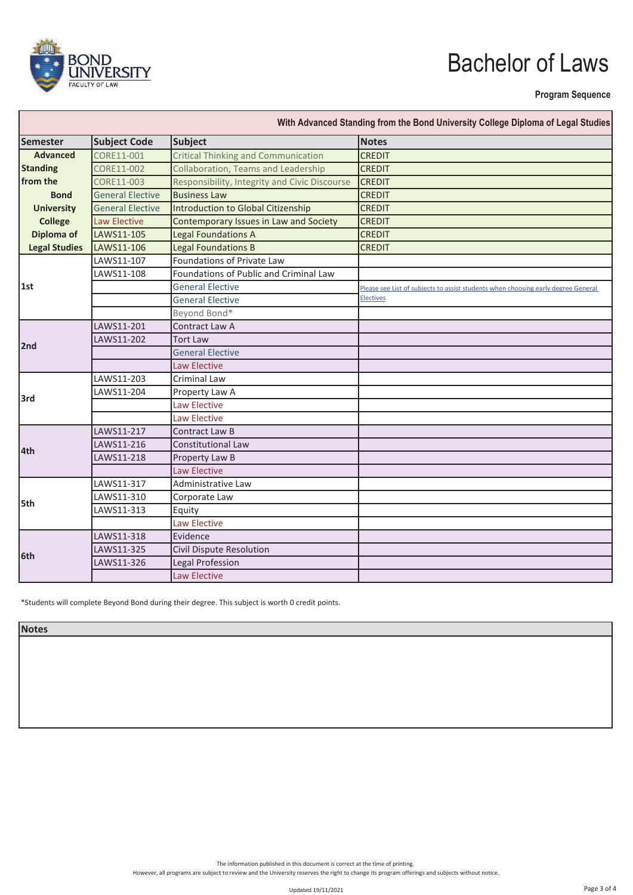

#### **Program Sequence**

| Semester             | <b>Subject Code</b><br>Subject |                                               | <b>Notes</b>                                                                      |  |
|----------------------|--------------------------------|-----------------------------------------------|-----------------------------------------------------------------------------------|--|
| <b>Advanced</b>      | CORE11-001                     | <b>Critical Thinking and Communication</b>    | <b>CREDIT</b>                                                                     |  |
| <b>Standing</b>      | CORE11-002                     | Collaboration, Teams and Leadership           | <b>CREDIT</b>                                                                     |  |
| from the             | CORE11-003                     | Responsibility, Integrity and Civic Discourse | <b>CREDIT</b>                                                                     |  |
| <b>Bond</b>          | <b>General Elective</b>        | <b>Business Law</b>                           | <b>CREDIT</b>                                                                     |  |
| <b>University</b>    | <b>General Elective</b>        | <b>Introduction to Global Citizenship</b>     | <b>CREDIT</b>                                                                     |  |
| <b>College</b>       | <b>Law Elective</b>            | Contemporary Issues in Law and Society        | <b>CREDIT</b>                                                                     |  |
| Diploma of           | LAWS11-105                     | Legal Foundations A                           | <b>CREDIT</b>                                                                     |  |
| <b>Legal Studies</b> | LAWS11-106                     | Legal Foundations B                           | <b>CREDIT</b>                                                                     |  |
|                      | LAWS11-107                     | Foundations of Private Law                    |                                                                                   |  |
|                      | LAWS11-108                     | Foundations of Public and Criminal Law        |                                                                                   |  |
| 1st                  |                                | <b>General Elective</b>                       | Please see List of subjects to assist students when choosing early degree General |  |
|                      |                                | <b>General Elective</b>                       | Electives                                                                         |  |
|                      |                                | Beyond Bond*                                  |                                                                                   |  |
|                      | LAWS11-201                     | Contract Law A                                |                                                                                   |  |
| 2nd                  | LAWS11-202                     | <b>Tort Law</b>                               |                                                                                   |  |
|                      |                                | <b>General Elective</b>                       |                                                                                   |  |
|                      |                                | <b>Law Elective</b>                           |                                                                                   |  |
|                      | LAWS11-203                     | <b>Criminal Law</b>                           |                                                                                   |  |
| l3rd                 | LAWS11-204                     | Property Law A                                |                                                                                   |  |
|                      |                                | <b>Law Elective</b>                           |                                                                                   |  |
|                      |                                | <b>Law Elective</b>                           |                                                                                   |  |
| 4th                  | LAWS11-217                     | Contract Law B                                |                                                                                   |  |
|                      | LAWS11-216                     | <b>Constitutional Law</b>                     |                                                                                   |  |
|                      | LAWS11-218                     | Property Law B                                |                                                                                   |  |
|                      |                                | <b>Law Elective</b>                           |                                                                                   |  |
| l5th                 | LAWS11-317                     | Administrative Law                            |                                                                                   |  |
|                      | LAWS11-310                     | Corporate Law                                 |                                                                                   |  |
|                      | LAWS11-313                     | Equity                                        |                                                                                   |  |
|                      |                                | <b>Law Elective</b>                           |                                                                                   |  |
| 6th                  | LAWS11-318                     | Evidence                                      |                                                                                   |  |
|                      | LAWS11-325                     | Civil Dispute Resolution                      |                                                                                   |  |
|                      | LAWS11-326                     | Legal Profession                              |                                                                                   |  |
|                      |                                | <b>Law Elective</b>                           |                                                                                   |  |

\*Students will complete Beyond Bond during their degree. This subject is worth 0 credit points.

**Notes**

The information published in this document is correct at the time of printing.